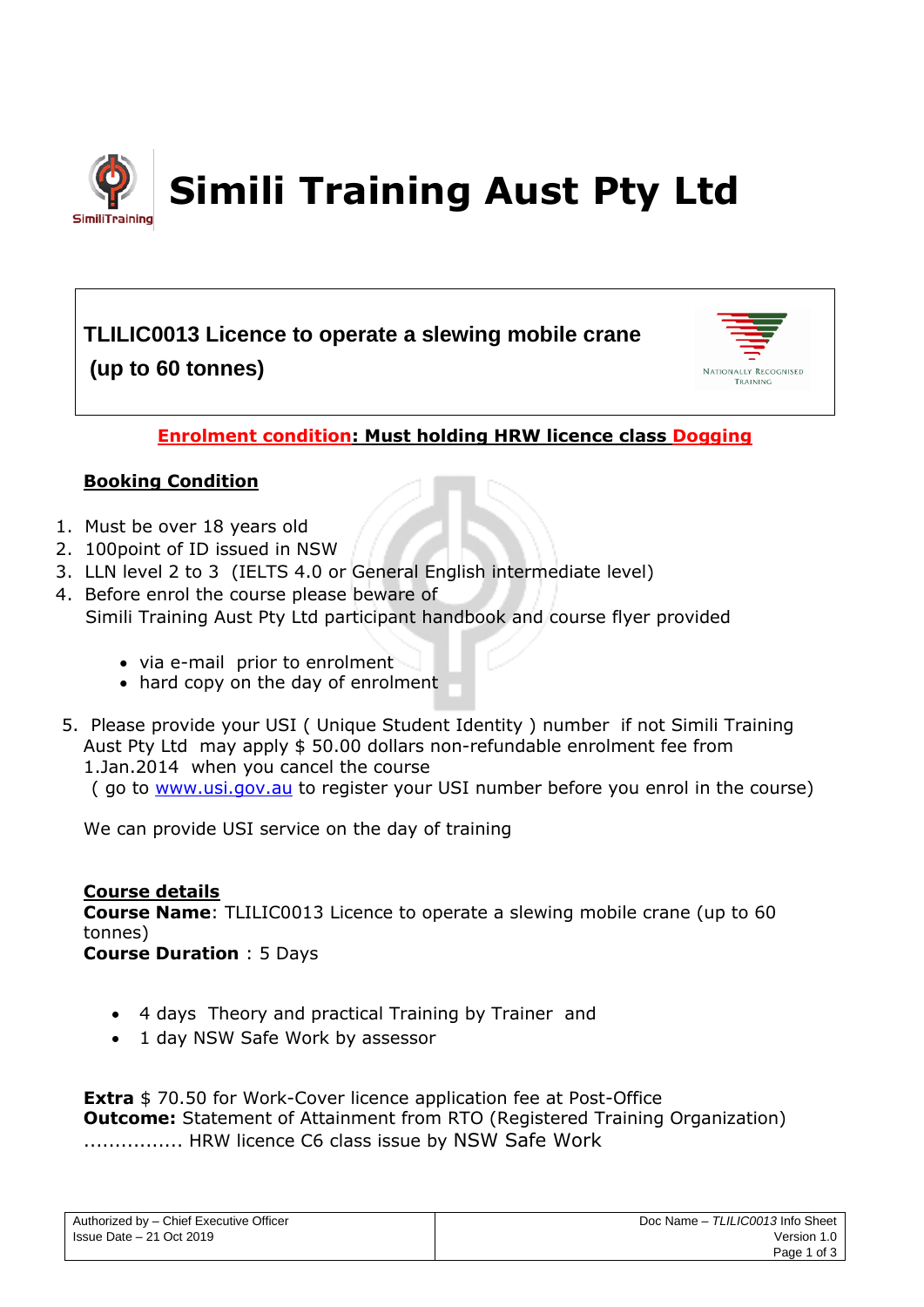

**TLILIC0013 Licence to operate a slewing mobile crane (up to 60 tonnes)**



# **Enrolment condition: Must holding HRW licence class Dogging**

# **Booking Condition**

- 1. Must be over 18 years old
- 2. 100point of ID issued in NSW
- 3. LLN level 2 to 3 (IELTS 4.0 or General English intermediate level)
- 4. Before enrol the course please beware of Simili Training Aust Pty Ltd participant handbook and course flyer provided
	- via e-mail prior to enrolment
	- hard copy on the day of enrolment
- 5. Please provide your USI ( Unique Student Identity ) number if not Simili Training Aust Pty Ltd may apply \$ 50.00 dollars non-refundable enrolment fee from 1.Jan.2014 when you cancel the course
	- ( go to [www.usi.gov.au](http://www.usi.gov.au/) to register your USI number before you enrol in the course)

We can provide USI service on the day of training

**Course details Course Name**: TLILIC0013 Licence to operate a slewing mobile crane (up to 60 tonnes) **Course Duration** : 5 Days

- 4 days Theory and practical Training by Trainer and
- 1 day NSW Safe Work by assessor

**Extra** \$ 70.50 for Work-Cover licence application fee at Post-Office **Outcome:** Statement of Attainment from RTO (Registered Training Organization) ................ HRW licence C6 class issue by NSW Safe Work

| Authorized by - Chief Executive Officer |  |
|-----------------------------------------|--|
| Ilssue Date – 21 Oct 2019               |  |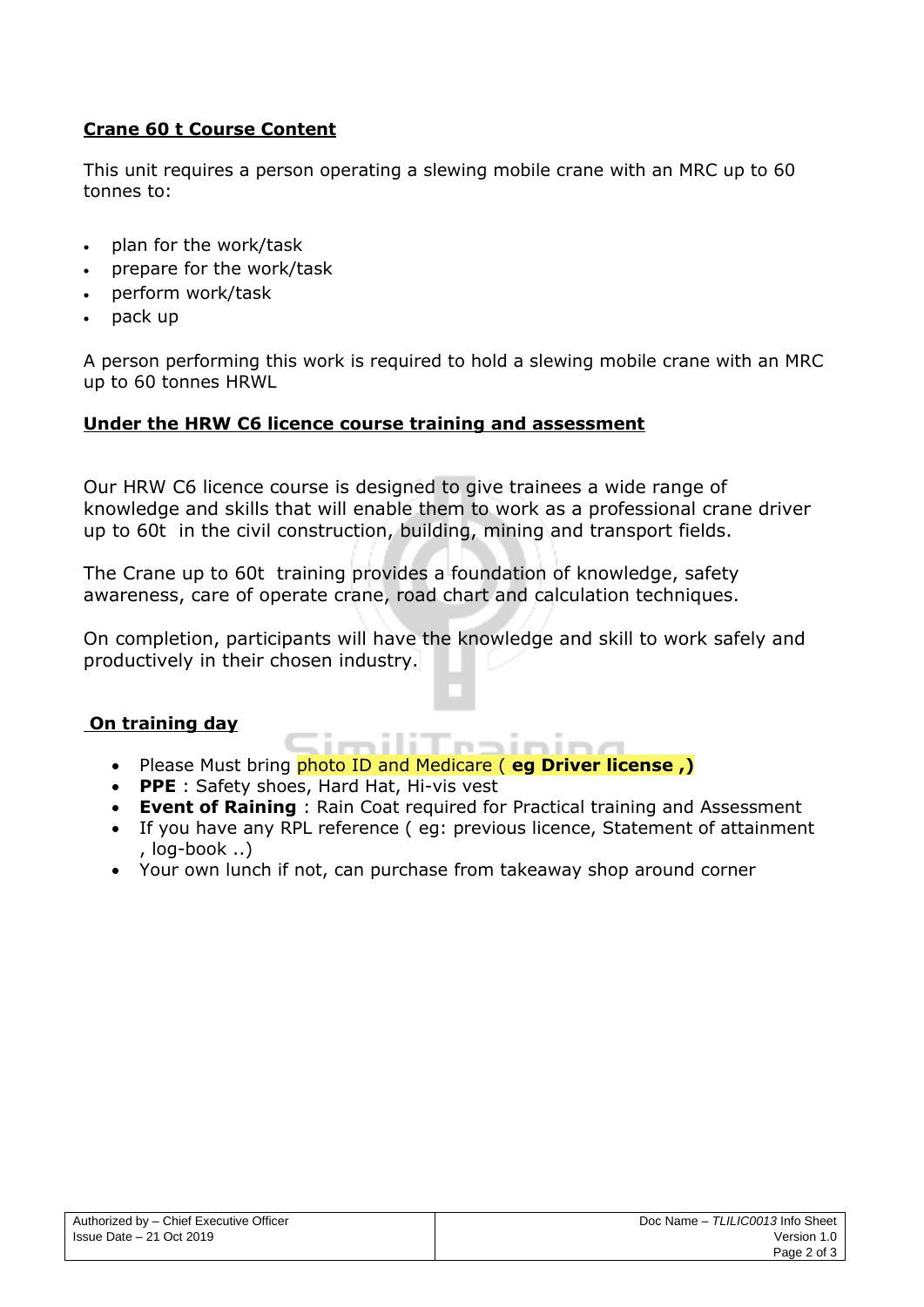# **Crane 60 t Course Content**

This unit requires a person operating a slewing mobile crane with an MRC up to 60 tonnes to:

- plan for the work/task
- prepare for the work/task
- perform work/task
- pack up

A person performing this work is required to hold a slewing mobile crane with an MRC up to 60 tonnes HRWL

## **Under the HRW C6 licence course training and assessment**

Our HRW C6 licence course is designed to give trainees a wide range of knowledge and skills that will enable them to work as a professional crane driver up to 60t in the civil construction, building, mining and transport fields.

The Crane up to 60t training provides a foundation of knowledge, safety awareness, care of operate crane, road chart and calculation techniques.

On completion, participants will have the knowledge and skill to work safely and productively in their chosen industry.

## **On training day**

- imiliTenining • Please Must bring photo ID and Medicare ( **eg Driver license ,)**
- **PPE** : Safety shoes, Hard Hat, Hi-vis vest
- **Event of Raining** : Rain Coat required for Practical training and Assessment
- If you have any RPL reference ( eg: previous licence, Statement of attainment , log-book ..)
- Your own lunch if not, can purchase from takeaway shop around corner